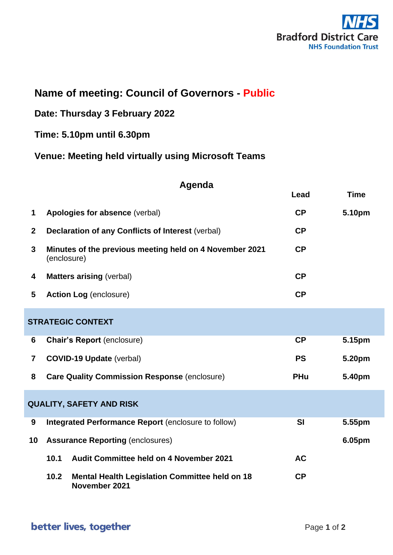

## **Name of meeting: Council of Governors - Public**

**Date: Thursday 3 February 2022**

## **Time: 5.10pm until 6.30pm**

**Venue: Meeting held virtually using Microsoft Teams**

| Agenda |
|--------|
|--------|

|                         |                                                                                | Lead       | <b>Time</b> |  |
|-------------------------|--------------------------------------------------------------------------------|------------|-------------|--|
| 1                       | Apologies for absence (verbal)                                                 | CP         | 5.10pm      |  |
| $\mathbf{2}$            | <b>Declaration of any Conflicts of Interest (verbal)</b>                       | CP         |             |  |
| 3                       | Minutes of the previous meeting held on 4 November 2021<br>(enclosure)         | CP         |             |  |
| 4                       | <b>Matters arising (verbal)</b>                                                | CP         |             |  |
| 5                       | <b>Action Log (enclosure)</b>                                                  | CP         |             |  |
|                         | <b>STRATEGIC CONTEXT</b>                                                       |            |             |  |
| 6                       | <b>Chair's Report (enclosure)</b>                                              | <b>CP</b>  | 5.15pm      |  |
| $\overline{\mathbf{r}}$ | <b>COVID-19 Update (verbal)</b>                                                | <b>PS</b>  | 5.20pm      |  |
| 8                       | <b>Care Quality Commission Response (enclosure)</b>                            | <b>PHu</b> | 5.40pm      |  |
|                         | <b>QUALITY, SAFETY AND RISK</b>                                                |            |             |  |
| 9                       | Integrated Performance Report (enclosure to follow)                            | <b>SI</b>  | 5.55pm      |  |
| 10                      | <b>Assurance Reporting (enclosures)</b>                                        |            | 6.05pm      |  |
|                         | 10.1<br><b>Audit Committee held on 4 November 2021</b>                         | <b>AC</b>  |             |  |
|                         | 10.2<br><b>Mental Health Legislation Committee held on 18</b><br>November 2021 | CP         |             |  |